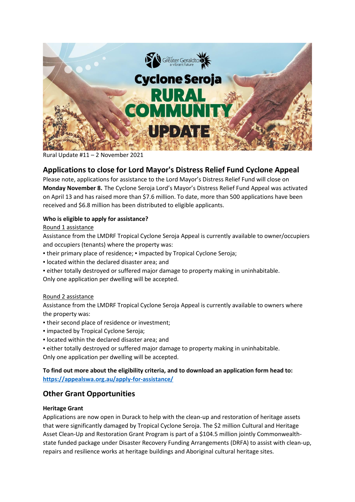

#### Rural Update #11 – 2 November 2021

# **Applications to close for Lord Mayor's Distress Relief Fund Cyclone Appeal**

Please note, applications for assistance to the Lord Mayor's Distress Relief Fund will close on **Monday November 8.** The Cyclone Seroja Lord's Mayor's Distress Relief Fund Appeal was activated on April 13 and has raised more than \$7.6 million. To date, more than 500 applications have been received and \$6.8 million has been distributed to eligible applicants.

#### **Who is eligible to apply for assistance?**

#### Round 1 assistance

Assistance from the LMDRF Tropical Cyclone Seroja Appeal is currently available to owner/occupiers and occupiers (tenants) where the property was:

- their primary place of residence; impacted by Tropical Cyclone Seroja;
- located within the declared disaster area; and
- either totally destroyed or suffered major damage to property making in uninhabitable. Only one application per dwelling will be accepted.

### Round 2 assistance

Assistance from the LMDRF Tropical Cyclone Seroja Appeal is currently available to owners where the property was:

- their second place of residence or investment;
- impacted by Tropical Cyclone Seroja;
- located within the declared disaster area; and
- either totally destroyed or suffered major damage to property making in uninhabitable.

Only one application per dwelling will be accepted.

**To find out more about the eligibility criteria, and to download an application form head to: <https://appealswa.org.au/apply-for-assistance/>**

## **Other Grant Opportunities**

### **Heritage Grant**

Applications are now open in Durack to help with the clean-up and restoration of heritage assets that were significantly damaged by Tropical Cyclone Seroja. The \$2 million Cultural and Heritage Asset Clean-Up and Restoration Grant Program is part of a \$104.5 million jointly Commonwealthstate funded package under Disaster Recovery Funding Arrangements (DRFA) to assist with clean-up, repairs and resilience works at heritage buildings and Aboriginal cultural heritage sites.